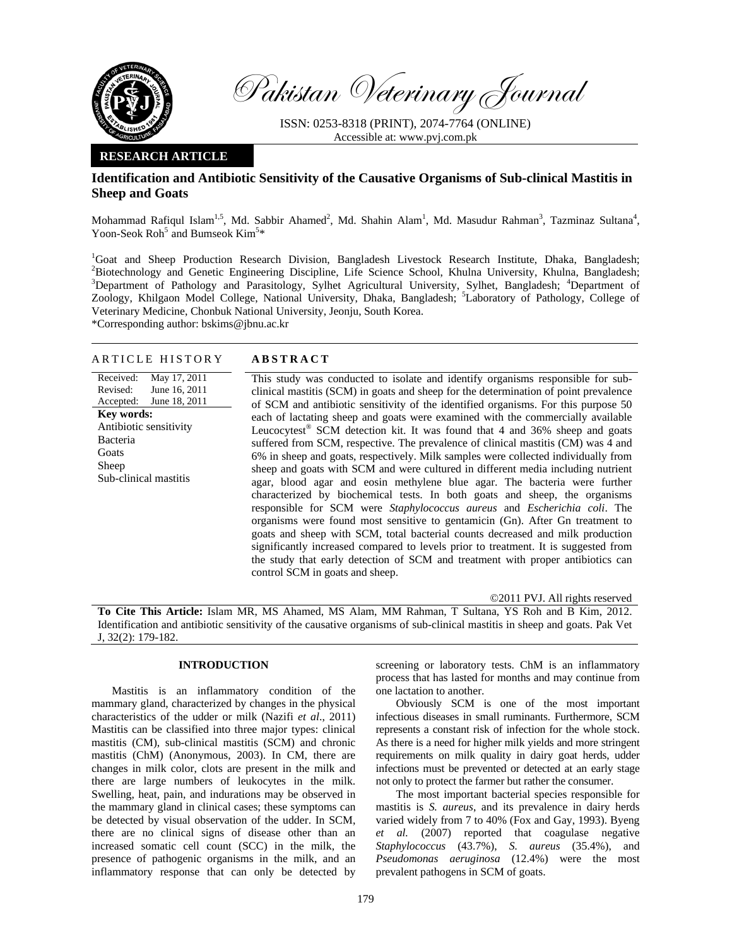

Pakistan Veterinary Journal

ISSN: 0253-8318 (PRINT), 2074-7764 (ONLINE) Accessible at: www.pvj.com.pk

# **RESEARCH ARTICLE**

# **Identification and Antibiotic Sensitivity of the Causative Organisms of Sub-clinical Mastitis in Sheep and Goats**

Mohammad Rafiqul Islam<sup>1,5</sup>, Md. Sabbir Ahamed<sup>2</sup>, Md. Shahin Alam<sup>1</sup>, Md. Masudur Rahman<sup>3</sup>, Tazminaz Sultana<sup>4</sup>, Yoon-Seok Roh<sup>5</sup> and Bumseok  $Kim<sup>5</sup>*$ 

<sup>1</sup>Goat and Sheep Production Research Division, Bangladesh Livestock Research Institute, Dhaka, Bangladesh; <sup>2</sup>Biotechnology and Genetic Engineering Discipline, Life Science School, Khulna University, Khulna, Bangladesh; <sup>3</sup>Department of Pathology and Parasitology, Sylhet Agricultural University, Sylhet, Bangladesh; <sup>4</sup>Department of Zoology, Khilgaon Model College, National University, Dhaka, Bangladesh; <sup>5</sup>Laboratory of Pathology, College of Veterinary Medicine, Chonbuk National University, Jeonju, South Korea.

\*Corresponding author: bskims@jbnu.ac.kr

# ARTICLE HISTORY **ABSTRACT**

Received: Revised: Accepted: May 17, 2011 June 16, 2011 June 18, 2011 **Key words:**  Antibiotic sensitivity Bacteria Goats Sheep Sub-clinical mastitis

This study was conducted to isolate and identify organisms responsible for subclinical mastitis (SCM) in goats and sheep for the determination of point prevalence of SCM and antibiotic sensitivity of the identified organisms. For this purpose 50 each of lactating sheep and goats were examined with the commercially available Leucocytest<sup>®</sup> SCM detection kit. It was found that 4 and 36% sheep and goats suffered from SCM, respective. The prevalence of clinical mastitis (CM) was 4 and 6% in sheep and goats, respectively. Milk samples were collected individually from sheep and goats with SCM and were cultured in different media including nutrient agar, blood agar and eosin methylene blue agar. The bacteria were further characterized by biochemical tests. In both goats and sheep, the organisms responsible for SCM were *Staphylococcus aureus* and *Escherichia coli*. The organisms were found most sensitive to gentamicin (Gn). After Gn treatment to goats and sheep with SCM, total bacterial counts decreased and milk production significantly increased compared to levels prior to treatment. It is suggested from the study that early detection of SCM and treatment with proper antibiotics can control SCM in goats and sheep.

©2011 PVJ. All rights reserved

**To Cite This Article:** Islam MR, MS Ahamed, MS Alam, MM Rahman, T Sultana, YS Roh and B Kim, 2012. Identification and antibiotic sensitivity of the causative organisms of sub-clinical mastitis in sheep and goats. Pak Vet J, 32(2): 179-182.

# **INTRODUCTION**

Mastitis is an inflammatory condition of the mammary gland, characterized by changes in the physical characteristics of the udder or milk (Nazifi *et al*., 2011) Mastitis can be classified into three major types: clinical mastitis (CM), sub-clinical mastitis (SCM) and chronic mastitis (ChM) (Anonymous, 2003). In CM, there are changes in milk color, clots are present in the milk and there are large numbers of leukocytes in the milk. Swelling, heat, pain, and indurations may be observed in the mammary gland in clinical cases; these symptoms can be detected by visual observation of the udder. In SCM, there are no clinical signs of disease other than an increased somatic cell count (SCC) in the milk, the presence of pathogenic organisms in the milk, and an inflammatory response that can only be detected by

screening or laboratory tests. ChM is an inflammatory process that has lasted for months and may continue from one lactation to another.

Obviously SCM is one of the most important infectious diseases in small ruminants. Furthermore, SCM represents a constant risk of infection for the whole stock. As there is a need for higher milk yields and more stringent requirements on milk quality in dairy goat herds, udder infections must be prevented or detected at an early stage not only to protect the farmer but rather the consumer.

The most important bacterial species responsible for mastitis is *S. aureus*, and its prevalence in dairy herds varied widely from 7 to 40% (Fox and Gay, 1993). Byeng *et al.* (2007) reported that coagulase negative *Staphylococcus* (43.7%), *S. aureus* (35.4%), and *Pseudomonas aeruginosa* (12.4%) were the most prevalent pathogens in SCM of goats.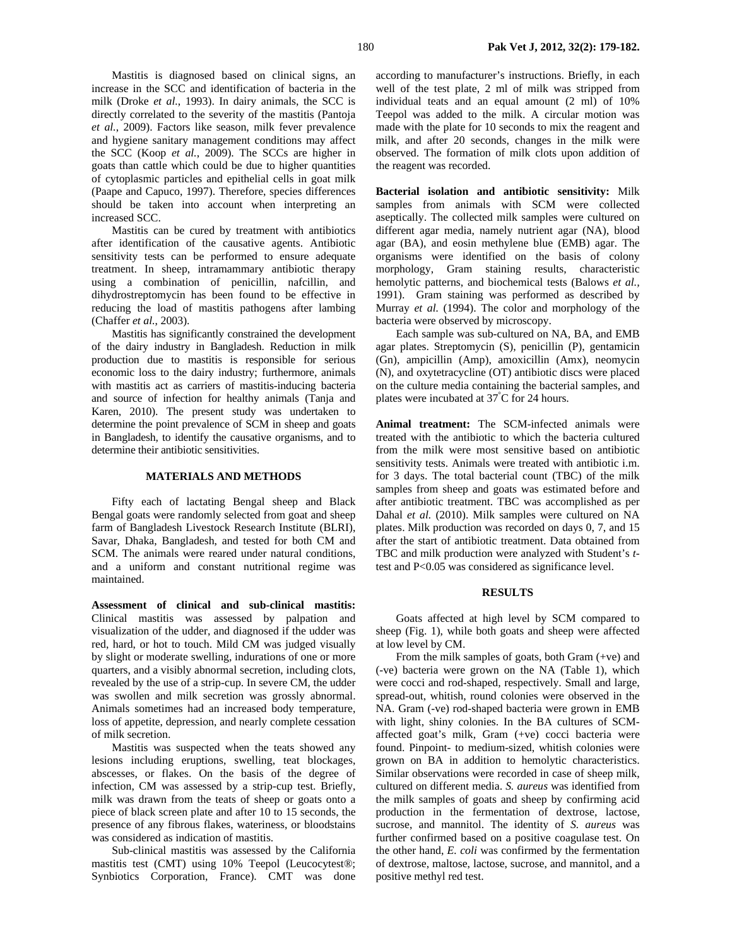Mastitis is diagnosed based on clinical signs, an increase in the SCC and identification of bacteria in the milk (Droke *et al.*, 1993). In dairy animals, the SCC is directly correlated to the severity of the mastitis (Pantoja *et al.*, 2009). Factors like season, milk fever prevalence and hygiene sanitary management conditions may affect the SCC (Koop *et al.*, 2009). The SCCs are higher in goats than cattle which could be due to higher quantities of cytoplasmic particles and epithelial cells in goat milk (Paape and Capuco, 1997). Therefore, species differences should be taken into account when interpreting an increased SCC.

Mastitis can be cured by treatment with antibiotics after identification of the causative agents. Antibiotic sensitivity tests can be performed to ensure adequate treatment. In sheep, intramammary antibiotic therapy using a combination of penicillin, nafcillin, and dihydrostreptomycin has been found to be effective in reducing the load of mastitis pathogens after lambing (Chaffer *et al.*, 2003).

Mastitis has significantly constrained the development of the dairy industry in Bangladesh. Reduction in milk production due to mastitis is responsible for serious economic loss to the dairy industry; furthermore, animals with mastitis act as carriers of mastitis-inducing bacteria and source of infection for healthy animals (Tanja and Karen, 2010). The present study was undertaken to determine the point prevalence of SCM in sheep and goats in Bangladesh, to identify the causative organisms, and to determine their antibiotic sensitivities.

### **MATERIALS AND METHODS**

Fifty each of lactating Bengal sheep and Black Bengal goats were randomly selected from goat and sheep farm of Bangladesh Livestock Research Institute (BLRI), Savar, Dhaka, Bangladesh, and tested for both CM and SCM. The animals were reared under natural conditions, and a uniform and constant nutritional regime was maintained.

**Assessment of clinical and sub-clinical mastitis:**  Clinical mastitis was assessed by palpation and visualization of the udder, and diagnosed if the udder was red, hard, or hot to touch. Mild CM was judged visually by slight or moderate swelling, indurations of one or more quarters, and a visibly abnormal secretion, including clots, revealed by the use of a strip-cup. In severe CM, the udder was swollen and milk secretion was grossly abnormal. Animals sometimes had an increased body temperature, loss of appetite, depression, and nearly complete cessation of milk secretion.

Mastitis was suspected when the teats showed any lesions including eruptions, swelling, teat blockages, abscesses, or flakes. On the basis of the degree of infection, CM was assessed by a strip-cup test. Briefly, milk was drawn from the teats of sheep or goats onto a piece of black screen plate and after 10 to 15 seconds, the presence of any fibrous flakes, wateriness, or bloodstains was considered as indication of mastitis.

Sub-clinical mastitis was assessed by the California mastitis test (CMT) using 10% Teepol (Leucocytest®; Synbiotics Corporation, France). CMT was done

according to manufacturer's instructions. Briefly, in each well of the test plate, 2 ml of milk was stripped from individual teats and an equal amount (2 ml) of 10% Teepol was added to the milk. A circular motion was made with the plate for 10 seconds to mix the reagent and milk, and after 20 seconds, changes in the milk were observed. The formation of milk clots upon addition of the reagent was recorded.

**Bacterial isolation and antibiotic sensitivity:** Milk samples from animals with SCM were collected aseptically. The collected milk samples were cultured on different agar media, namely nutrient agar (NA), blood agar (BA), and eosin methylene blue (EMB) agar. The organisms were identified on the basis of colony morphology, Gram staining results, characteristic hemolytic patterns, and biochemical tests (Balows *et al.,* 1991). Gram staining was performed as described by Murray *et al.* (1994). The color and morphology of the bacteria were observed by microscopy.

Each sample was sub-cultured on NA, BA, and EMB agar plates. Streptomycin (S), penicillin (P), gentamicin (Gn), ampicillin (Amp), amoxicillin (Amx), neomycin (N), and oxytetracycline (OT) antibiotic discs were placed on the culture media containing the bacterial samples, and plates were incubated at 37° C for 24 hours.

**Animal treatment:** The SCM-infected animals were treated with the antibiotic to which the bacteria cultured from the milk were most sensitive based on antibiotic sensitivity tests. Animals were treated with antibiotic i.m. for 3 days. The total bacterial count (TBC) of the milk samples from sheep and goats was estimated before and after antibiotic treatment. TBC was accomplished as per Dahal *et al.* (2010). Milk samples were cultured on NA plates. Milk production was recorded on days 0, 7, and 15 after the start of antibiotic treatment. Data obtained from TBC and milk production were analyzed with Student's *t*test and P<0.05 was considered as significance level.

## **RESULTS**

Goats affected at high level by SCM compared to sheep (Fig. 1), while both goats and sheep were affected at low level by CM.

From the milk samples of goats, both Gram (+ve) and (-ve) bacteria were grown on the NA (Table 1), which were cocci and rod-shaped, respectively. Small and large, spread-out, whitish, round colonies were observed in the NA. Gram (-ve) rod-shaped bacteria were grown in EMB with light, shiny colonies. In the BA cultures of SCMaffected goat's milk, Gram (+ve) cocci bacteria were found. Pinpoint- to medium-sized, whitish colonies were grown on BA in addition to hemolytic characteristics. Similar observations were recorded in case of sheep milk, cultured on different media. *S. aureus* was identified from the milk samples of goats and sheep by confirming acid production in the fermentation of dextrose, lactose, sucrose, and mannitol. The identity of *S. aureus* was further confirmed based on a positive coagulase test. On the other hand, *E. coli* was confirmed by the fermentation of dextrose, maltose, lactose, sucrose, and mannitol, and a positive methyl red test.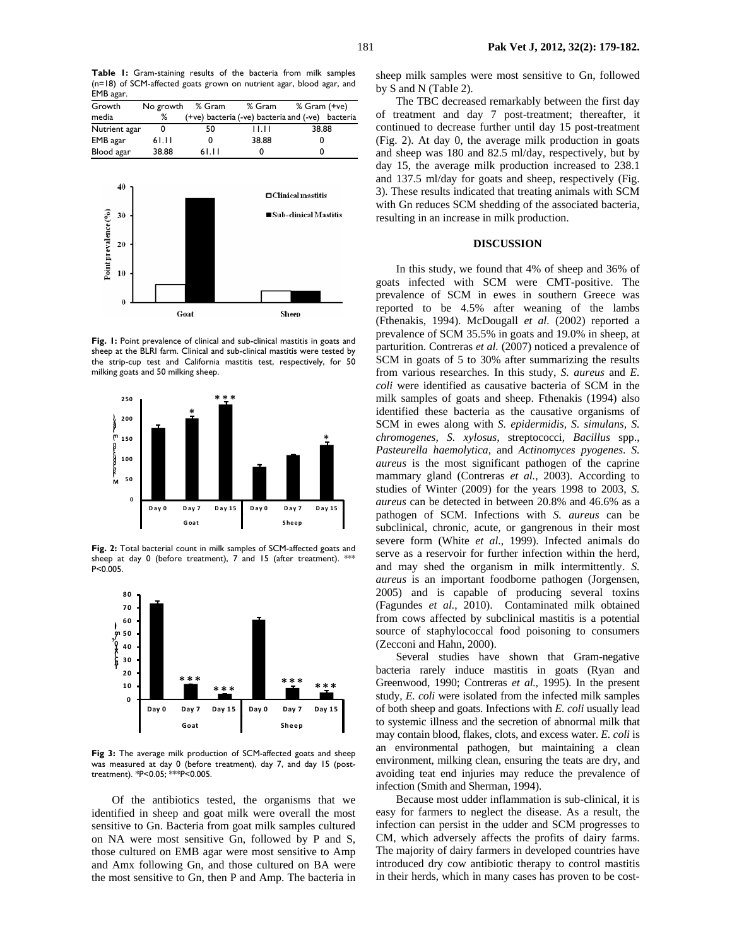| Growth        | No growth | % Gram                                           | % Gram | % Gram (+ve) |  |
|---------------|-----------|--------------------------------------------------|--------|--------------|--|
| media         | ℅         | (+ve) bacteria (-ve) bacteria and (-ve) bacteria |        |              |  |
| Nutrient agar |           | 50                                               | 11.IT  | 38.88        |  |
| EMB agar      | 61.11     | 0                                                | 38.88  |              |  |
| Blood agar    | 38.88     | 61.II                                            |        |              |  |



Fig. 1: Point prevalence of clinical and sub-clinical mastitis in goats and sheep at the BLRI farm. Clinical and sub-clinical mastitis were tested by the strip-cup test and California mastitis test, respectively, for 50 milking goats and 50 milking sheep.



**Fig. 2:** Total bacterial count in milk samples of SCM-affected goats and sheep at day 0 (before treatment), 7 and 15 (after treatment). \*\*\* P<0.005.



Fig 3: The average milk production of SCM-affected goats and sheep was measured at day 0 (before treatment), day 7, and day 15 (posttreatment). \*P<0.05; \*\*\*P<0.005.

Of the antibiotics tested, the organisms that we identified in sheep and goat milk were overall the most sensitive to Gn. Bacteria from goat milk samples cultured on NA were most sensitive Gn, followed by P and S, those cultured on EMB agar were most sensitive to Amp and Amx following Gn, and those cultured on BA were the most sensitive to Gn, then P and Amp. The bacteria in sheep milk samples were most sensitive to Gn, followed by S and N (Table 2).

The TBC decreased remarkably between the first day of treatment and day 7 post-treatment; thereafter, it continued to decrease further until day 15 post-treatment (Fig. 2). At day 0, the average milk production in goats and sheep was 180 and 82.5 ml/day, respectively, but by day 15, the average milk production increased to 238.1 and 137.5 ml/day for goats and sheep, respectively (Fig. 3). These results indicated that treating animals with SCM with Gn reduces SCM shedding of the associated bacteria, resulting in an increase in milk production.

## **DISCUSSION**

In this study, we found that 4% of sheep and 36% of goats infected with SCM were CMT-positive. The prevalence of SCM in ewes in southern Greece was reported to be 4.5% after weaning of the lambs (Fthenakis, 1994). McDougall *et al.* (2002) reported a prevalence of SCM 35.5% in goats and 19.0% in sheep, at parturition. Contreras *et al.* (2007) noticed a prevalence of SCM in goats of 5 to 30% after summarizing the results from various researches. In this study, *S. aureus* and *E. coli* were identified as causative bacteria of SCM in the milk samples of goats and sheep. Fthenakis (1994) also identified these bacteria as the causative organisms of SCM in ewes along with *S. epidermidis, S. simulans, S. chromogenes, S. xylosus,* streptococci, *Bacillus* spp., *Pasteurella haemolytica*, and *Actinomyces pyogenes*. *S. aureus* is the most significant pathogen of the caprine mammary gland (Contreras *et al.*, 2003). According to studies of Winter (2009) for the years 1998 to 2003, *S. aureus* can be detected in between 20.8% and 46.6% as a pathogen of SCM. Infections with *S. aureus* can be subclinical, chronic, acute, or gangrenous in their most severe form (White *et al.*, 1999). Infected animals do serve as a reservoir for further infection within the herd, and may shed the organism in milk intermittently. *S. aureus* is an important foodborne pathogen (Jorgensen, 2005) and is capable of producing several toxins (Fagundes *et al.*, 2010). Contaminated milk obtained from cows affected by subclinical mastitis is a potential source of staphylococcal food poisoning to consumers (Zecconi and Hahn, 2000).

Several studies have shown that Gram-negative bacteria rarely induce mastitis in goats (Ryan and Greenwood, 1990; Contreras *et al.*, 1995). In the present study, *E. coli* were isolated from the infected milk samples of both sheep and goats. Infections with *E. coli* usually lead to systemic illness and the secretion of abnormal milk that may contain blood, flakes, clots, and excess water. *E. coli* is an environmental pathogen, but maintaining a clean environment, milking clean, ensuring the teats are dry, and avoiding teat end injuries may reduce the prevalence of infection (Smith and Sherman, 1994).

Because most udder inflammation is sub-clinical, it is easy for farmers to neglect the disease. As a result, the infection can persist in the udder and SCM progresses to CM, which adversely affects the profits of dairy farms. The majority of dairy farmers in developed countries have introduced dry cow antibiotic therapy to control mastitis in their herds, which in many cases has proven to be cost-